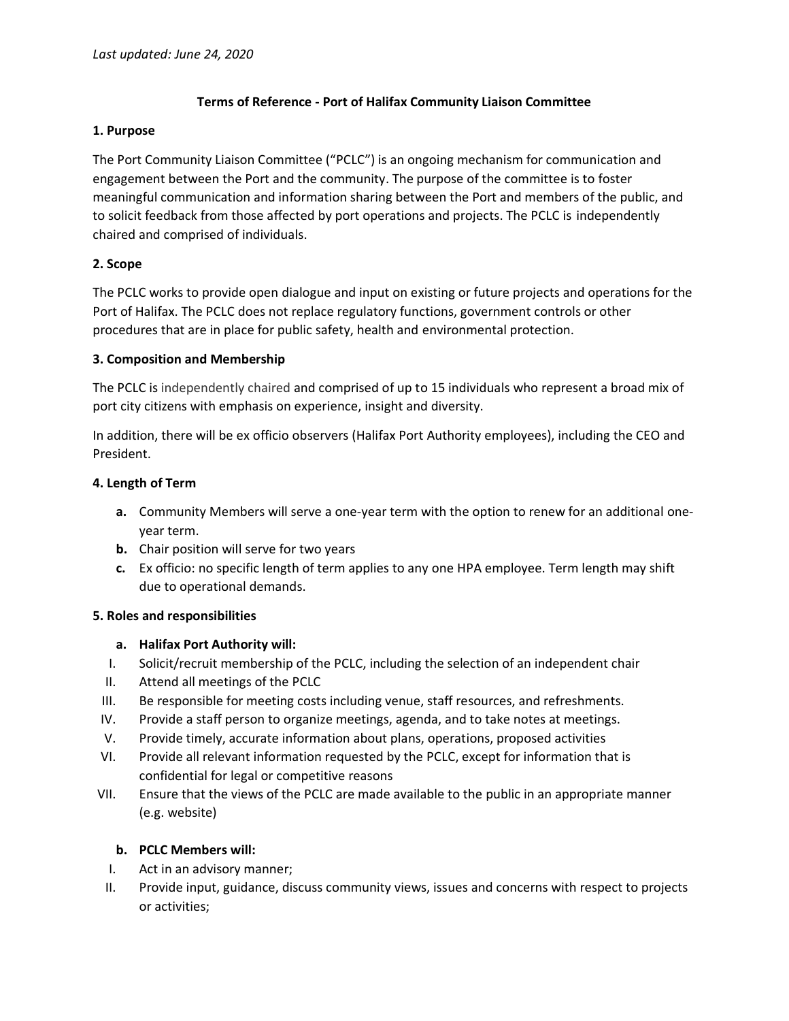# **Terms of Reference - Port of Halifax Community Liaison Committee**

#### **1. Purpose**

The Port Community Liaison Committee ("PCLC") is an ongoing mechanism for communication and engagement between the Port and the community. The purpose of the committee is to foster meaningful communication and information sharing between the Port and members of the public, and to solicit feedback from those affected by port operations and projects. The PCLC is independently chaired and comprised of individuals.

# **2. Scope**

The PCLC works to provide open dialogue and input on existing or future projects and operations for the Port of Halifax. The PCLC does not replace regulatory functions, government controls or other procedures that are in place for public safety, health and environmental protection.

# **3. Composition and Membership**

The PCLC is independently chaired and comprised of up to 15 individuals who represent a broad mix of port city citizens with emphasis on experience, insight and diversity.

In addition, there will be ex officio observers (Halifax Port Authority employees), including the CEO and President.

# **4. Length of Term**

- **a.** Community Members will serve a one-year term with the option to renew for an additional oneyear term.
- **b.** Chair position will serve for two years
- **c.** Ex officio: no specific length of term applies to any one HPA employee. Term length may shift due to operational demands.

# **5. Roles and responsibilities**

# **a. Halifax Port Authority will:**

- I. Solicit/recruit membership of the PCLC, including the selection of an independent chair
- II. Attend all meetings of the PCLC
- III. Be responsible for meeting costs including venue, staff resources, and refreshments.
- IV. Provide a staff person to organize meetings, agenda, and to take notes at meetings.
- V. Provide timely, accurate information about plans, operations, proposed activities
- VI. Provide all relevant information requested by the PCLC, except for information that is confidential for legal or competitive reasons
- VII. Ensure that the views of the PCLC are made available to the public in an appropriate manner (e.g. website)

# **b. PCLC Members will:**

- I. Act in an advisory manner;
- II. Provide input, guidance, discuss community views, issues and concerns with respect to projects or activities;